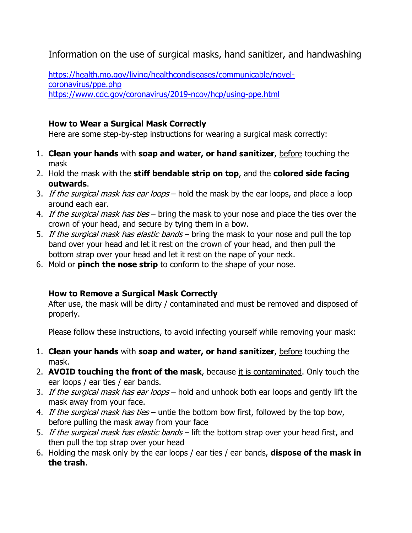Information on the use of surgical masks, hand sanitizer, and handwashing

[https://health.mo.gov/living/healthcondiseases/communicable/novel](https://health.mo.gov/living/healthcondiseases/communicable/novel-coronavirus/ppe.php)[coronavirus/ppe.php](https://health.mo.gov/living/healthcondiseases/communicable/novel-coronavirus/ppe.php) <https://www.cdc.gov/coronavirus/2019-ncov/hcp/using-ppe.html>

## **How to Wear a Surgical Mask Correctly**

Here are some step-by-step instructions for wearing a surgical mask correctly:

- 1. **Clean your hands** with **[soap and water, or hand sanitizer](https://www.techarp.com/science/hand-sanitiser-hand-soap-better/)**, before touching the mask
- 2. Hold the mask with the **stiff bendable strip on top**, and the **colored side facing outwards**.
- 3. If the surgical mask has ear loops hold the mask by the ear loops, and place a loop around each ear.
- 4. If the surgical mask has ties bring the mask to your nose and place the ties over the crown of your head, and secure by tying them in a bow.
- 5. If the surgical mask has elastic bands bring the mask to your nose and pull the top band over your head and let it rest on the crown of your head, and then pull the bottom strap over your head and let it rest on the nape of your neck.
- 6. Mold or **pinch the nose strip** to conform to the shape of your nose.

## **How to Remove a Surgical Mask Correctly**

After use, the mask will be dirty / contaminated and must be removed and disposed of properly.

Please follow these instructions, to avoid infecting yourself while removing your mask:

- 1. **Clean your hands** with **[soap and water, or hand sanitizer](https://www.techarp.com/science/hand-sanitiser-hand-soap-better/)**, before touching the mask.
- 2. **AVOID touching the front of the mask**, because it is contaminated. Only touch the ear loops / ear ties / ear bands.
- 3. If the surgical mask has ear loops hold and unhook both ear loops and gently lift the mask away from your face.
- 4. If the surgical mask has ties untie the bottom bow first, followed by the top bow, before pulling the mask away from your face
- 5. If the surgical mask has elastic bands lift the bottom strap over your head first, and then pull the top strap over your head
- 6. Holding the mask only by the ear loops / ear ties / ear bands, **dispose of the mask in the trash**.